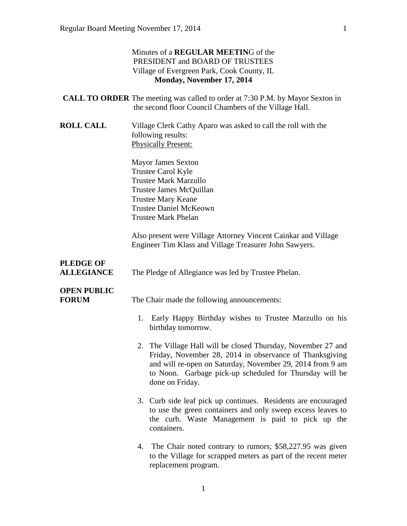## Minutes of a **REGULAR MEETIN**G of the PRESIDENT and BOARD OF TRUSTEES Village of Evergreen Park, Cook County, IL **Monday, November 17, 2014**

|                                       | <b>CALL TO ORDER</b> The meeting was called to order at 7:30 P.M. by Mayor Sexton in<br>the second floor Council Chambers of the Village Hall.                                                                                                                     |
|---------------------------------------|--------------------------------------------------------------------------------------------------------------------------------------------------------------------------------------------------------------------------------------------------------------------|
| <b>ROLL CALL</b>                      | Village Clerk Cathy Aparo was asked to call the roll with the<br>following results:<br><b>Physically Present:</b>                                                                                                                                                  |
|                                       | <b>Mayor James Sexton</b><br><b>Trustee Carol Kyle</b><br><b>Trustee Mark Marzullo</b><br>Trustee James McQuillan<br><b>Trustee Mary Keane</b><br><b>Trustee Daniel McKeown</b><br><b>Trustee Mark Phelan</b>                                                      |
|                                       | Also present were Village Attorney Vincent Cainkar and Village<br>Engineer Tim Klass and Village Treasurer John Sawyers.                                                                                                                                           |
| <b>PLEDGE OF</b><br><b>ALLEGIANCE</b> | The Pledge of Allegiance was led by Trustee Phelan.                                                                                                                                                                                                                |
| <b>OPEN PUBLIC</b><br><b>FORUM</b>    | The Chair made the following announcements:                                                                                                                                                                                                                        |
|                                       | 1. Early Happy Birthday wishes to Trustee Marzullo on his<br>birthday tomorrow.                                                                                                                                                                                    |
|                                       | 2. The Village Hall will be closed Thursday, November 27 and<br>Friday, November 28, 2014 in observance of Thanksgiving<br>and will re-open on Saturday, November 29, 2014 from 9 am<br>to Noon. Garbage pick-up scheduled for Thursday will be<br>done on Friday. |
|                                       | 3. Curb side leaf pick up continues. Residents are encouraged<br>to use the green containers and only sweep excess leaves to<br>the curb. Waste Management is paid to pick up the<br>containers.                                                                   |

4. The Chair noted contrary to rumors; \$58,227.95 was given to the Village for scrapped meters as part of the recent meter replacement program.

1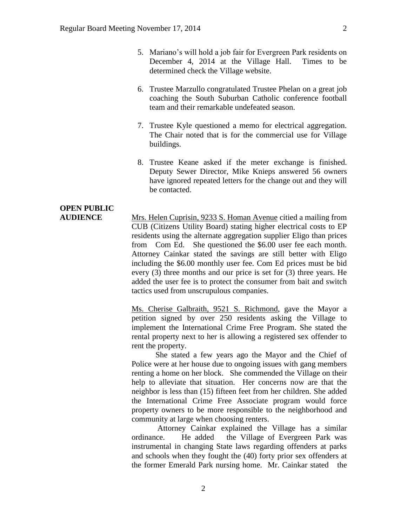- 5. Mariano's will hold a job fair for Evergreen Park residents on December 4, 2014 at the Village Hall. Times to be determined check the Village website.
- 6. Trustee Marzullo congratulated Trustee Phelan on a great job coaching the South Suburban Catholic conference football team and their remarkable undefeated season.
- 7. Trustee Kyle questioned a memo for electrical aggregation. The Chair noted that is for the commercial use for Village buildings.
- 8. Trustee Keane asked if the meter exchange is finished. Deputy Sewer Director, Mike Knieps answered 56 owners have ignored repeated letters for the change out and they will be contacted.

# **OPEN PUBLIC**

**AUDIENCE** Mrs. Helen Cuprisin, 9233 S. Homan Avenue citied a mailing from CUB (Citizens Utility Board) stating higher electrical costs to EP residents using the alternate aggregation supplier Eligo than prices from Com Ed. She questioned the \$6.00 user fee each month. Attorney Cainkar stated the savings are still better with Eligo including the \$6.00 monthly user fee. Com Ed prices must be bid every (3) three months and our price is set for (3) three years. He added the user fee is to protect the consumer from bait and switch tactics used from unscrupulous companies.

> Ms. Cherise Galbraith, 9521 S. Richmond, gave the Mayor a petition signed by over 250 residents asking the Village to implement the International Crime Free Program. She stated the rental property next to her is allowing a registered sex offender to rent the property.

> She stated a few years ago the Mayor and the Chief of Police were at her house due to ongoing issues with gang members renting a home on her block. She commended the Village on their help to alleviate that situation. Her concerns now are that the neighbor is less than (15) fifteen feet from her children. She added the International Crime Free Associate program would force property owners to be more responsible to the neighborhood and community at large when choosing renters.

> Attorney Cainkar explained the Village has a similar ordinance. He added the Village of Evergreen Park was instrumental in changing State laws regarding offenders at parks and schools when they fought the (40) forty prior sex offenders at the former Emerald Park nursing home. Mr. Cainkar stated the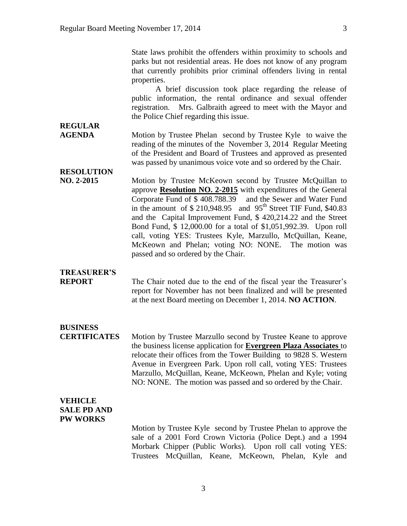State laws prohibit the offenders within proximity to schools and parks but not residential areas. He does not know of any program that currently prohibits prior criminal offenders living in rental properties.

A brief discussion took place regarding the release of public information, the rental ordinance and sexual offender registration. Mrs. Galbraith agreed to meet with the Mayor and the Police Chief regarding this issue.

## **AGENDA** Motion by Trustee Phelan second by Trustee Kyle to waive the reading of the minutes of the November 3, 2014 Regular Meeting of the President and Board of Trustees and approved as presented was passed by unanimous voice vote and so ordered by the Chair.

**RESOLUTION** 

**REGULAR** 

**NO. 2-2015** Motion by Trustee McKeown second by Trustee McQuillan to approve **Resolution NO. 2-2015** with expenditures of the General Corporate Fund of \$ 408.788.39 and the Sewer and Water Fund in the amount of  $$ 210,948.95$  and  $95<sup>th</sup>$  Street TIF Fund, \$40.83 and the Capital Improvement Fund, \$ 420,214.22 and the Street Bond Fund, \$ 12,000.00 for a total of \$1,051,992.39. Upon roll call, voting YES: Trustees Kyle, Marzullo, McQuillan, Keane, McKeown and Phelan; voting NO: NONE. The motion was passed and so ordered by the Chair.

## **TREASURER'S**

**REPORT** The Chair noted due to the end of the fiscal year the Treasurer's report for November has not been finalized and will be presented at the next Board meeting on December 1, 2014. **NO ACTION**.

# **BUSINESS**

**CERTIFICATES** Motion by Trustee Marzullo second by Trustee Keane to approve the business license application for **Evergreen Plaza Associates** to relocate their offices from the Tower Building to 9828 S. Western Avenue in Evergreen Park. Upon roll call, voting YES: Trustees Marzullo, McQuillan, Keane, McKeown, Phelan and Kyle; voting NO: NONE. The motion was passed and so ordered by the Chair.

## **VEHICLE SALE PD AND PW WORKS**

Motion by Trustee Kyle second by Trustee Phelan to approve the sale of a 2001 Ford Crown Victoria (Police Dept.) and a 1994 Morbark Chipper (Public Works). Upon roll call voting YES: Trustees McQuillan, Keane, McKeown, Phelan, Kyle and